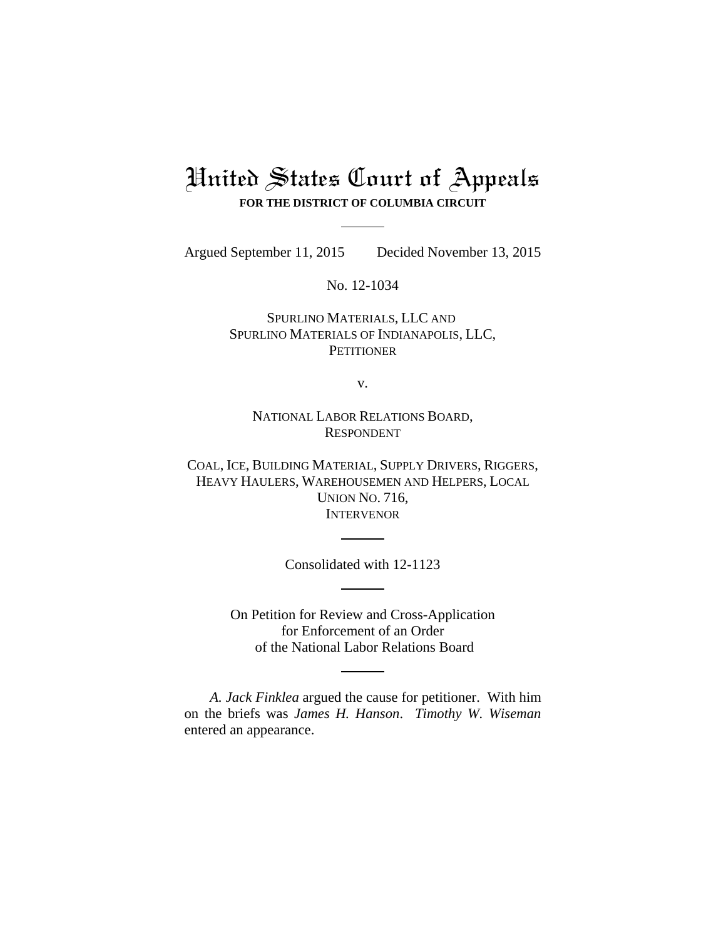# United States Court of Appeals **FOR THE DISTRICT OF COLUMBIA CIRCUIT**

Argued September 11, 2015 Decided November 13, 2015

No. 12-1034

SPURLINO MATERIALS, LLC AND SPURLINO MATERIALS OF INDIANAPOLIS, LLC, **PETITIONER** 

v.

NATIONAL LABOR RELATIONS BOARD, RESPONDENT

COAL, ICE, BUILDING MATERIAL, SUPPLY DRIVERS, RIGGERS, HEAVY HAULERS, WAREHOUSEMEN AND HELPERS, LOCAL UNION NO. 716, INTERVENOR

Consolidated with 12-1123

On Petition for Review and Cross-Application for Enforcement of an Order of the National Labor Relations Board

*A. Jack Finklea* argued the cause for petitioner. With him on the briefs was *James H. Hanson*. *Timothy W. Wiseman* entered an appearance.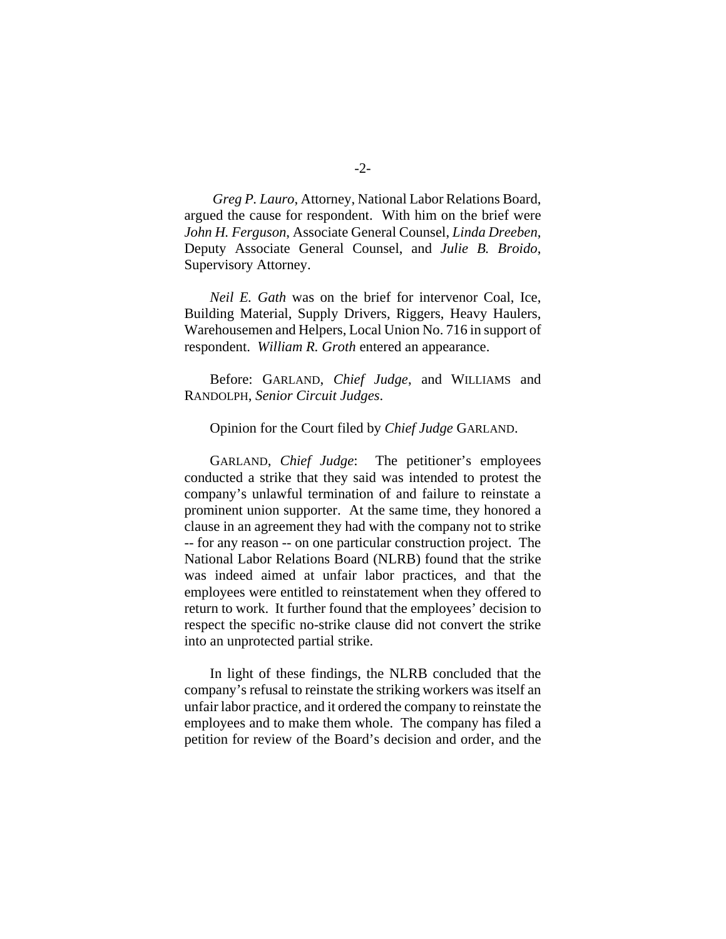*Greg P. Lauro*, Attorney, National Labor Relations Board, argued the cause for respondent. With him on the brief were *John H. Ferguson*, Associate General Counsel, *Linda Dreeben*, Deputy Associate General Counsel, and *Julie B. Broido*, Supervisory Attorney.

*Neil E. Gath* was on the brief for intervenor Coal, Ice, Building Material, Supply Drivers, Riggers, Heavy Haulers, Warehousemen and Helpers, Local Union No. 716 in support of respondent. *William R. Groth* entered an appearance.

Before: GARLAND, *Chief Judge*, and WILLIAMS and RANDOLPH, *Senior Circuit Judges*.

### Opinion for the Court filed by *Chief Judge* GARLAND.

GARLAND, *Chief Judge*: The petitioner's employees conducted a strike that they said was intended to protest the company's unlawful termination of and failure to reinstate a prominent union supporter. At the same time, they honored a clause in an agreement they had with the company not to strike -- for any reason -- on one particular construction project. The National Labor Relations Board (NLRB) found that the strike was indeed aimed at unfair labor practices, and that the employees were entitled to reinstatement when they offered to return to work. It further found that the employees' decision to respect the specific no-strike clause did not convert the strike into an unprotected partial strike.

In light of these findings, the NLRB concluded that the company's refusal to reinstate the striking workers was itself an unfair labor practice, and it ordered the company to reinstate the employees and to make them whole. The company has filed a petition for review of the Board's decision and order, and the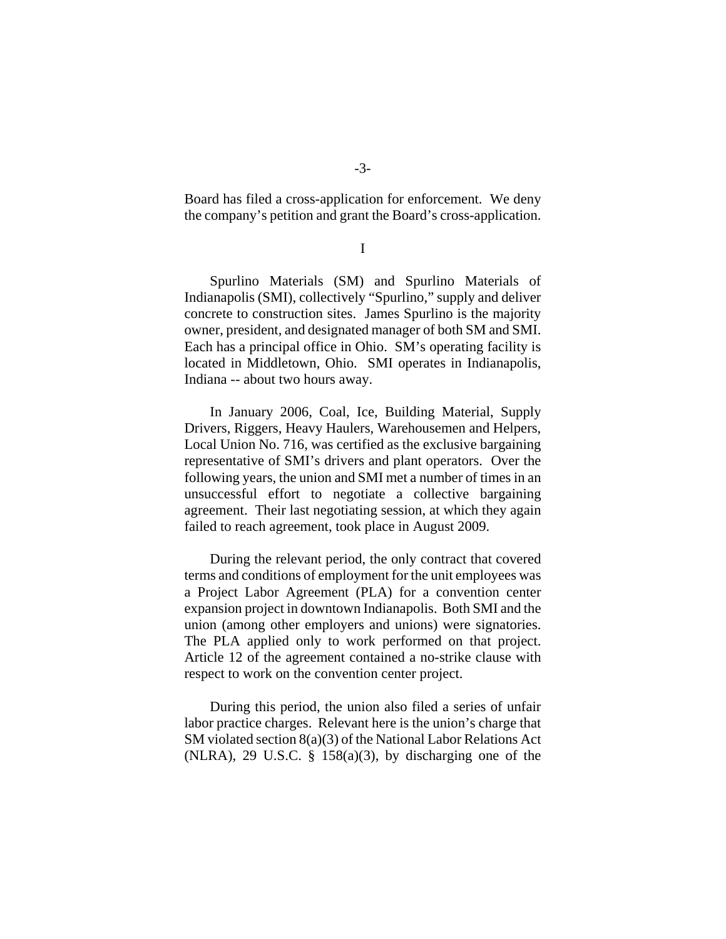Board has filed a cross-application for enforcement. We deny the company's petition and grant the Board's cross-application.

I

Spurlino Materials (SM) and Spurlino Materials of Indianapolis (SMI), collectively "Spurlino," supply and deliver concrete to construction sites. James Spurlino is the majority owner, president, and designated manager of both SM and SMI. Each has a principal office in Ohio. SM's operating facility is located in Middletown, Ohio. SMI operates in Indianapolis, Indiana -- about two hours away.

In January 2006, Coal, Ice, Building Material, Supply Drivers, Riggers, Heavy Haulers, Warehousemen and Helpers, Local Union No. 716, was certified as the exclusive bargaining representative of SMI's drivers and plant operators. Over the following years, the union and SMI met a number of times in an unsuccessful effort to negotiate a collective bargaining agreement. Their last negotiating session, at which they again failed to reach agreement, took place in August 2009.

During the relevant period, the only contract that covered terms and conditions of employment for the unit employees was a Project Labor Agreement (PLA) for a convention center expansion project in downtown Indianapolis. Both SMI and the union (among other employers and unions) were signatories. The PLA applied only to work performed on that project. Article 12 of the agreement contained a no-strike clause with respect to work on the convention center project.

During this period, the union also filed a series of unfair labor practice charges. Relevant here is the union's charge that SM violated section 8(a)(3) of the National Labor Relations Act (NLRA), 29 U.S.C.  $\S$  158(a)(3), by discharging one of the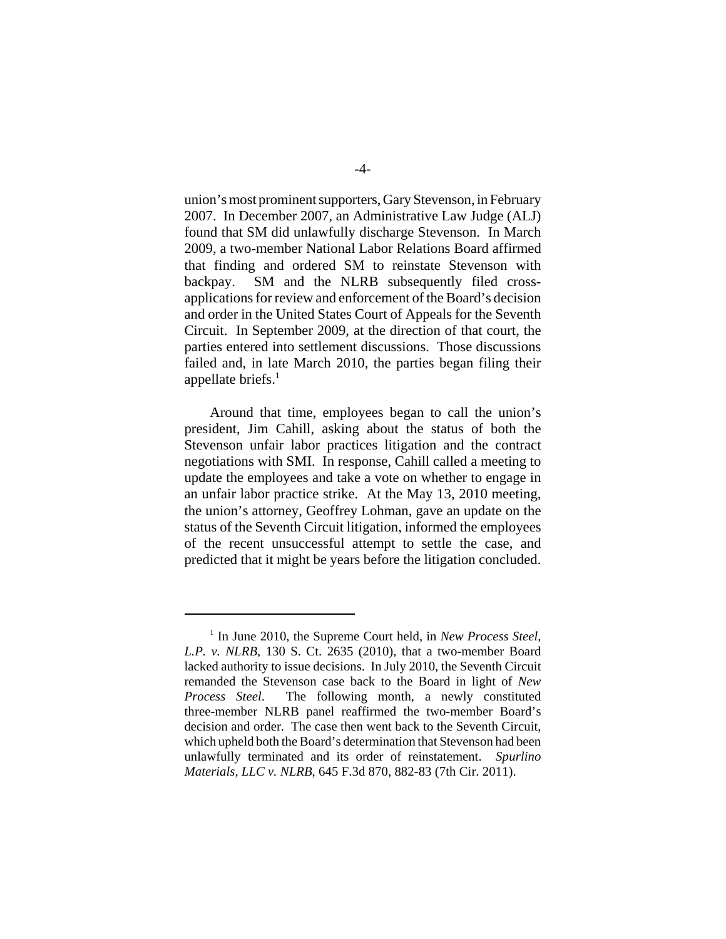union's most prominent supporters, Gary Stevenson, in February 2007. In December 2007, an Administrative Law Judge (ALJ) found that SM did unlawfully discharge Stevenson. In March 2009, a two-member National Labor Relations Board affirmed that finding and ordered SM to reinstate Stevenson with backpay. SM and the NLRB subsequently filed crossapplications for review and enforcement of the Board's decision and order in the United States Court of Appeals for the Seventh Circuit. In September 2009, at the direction of that court, the parties entered into settlement discussions. Those discussions failed and, in late March 2010, the parties began filing their appellate briefs. $<sup>1</sup>$ </sup>

Around that time, employees began to call the union's president, Jim Cahill, asking about the status of both the Stevenson unfair labor practices litigation and the contract negotiations with SMI. In response, Cahill called a meeting to update the employees and take a vote on whether to engage in an unfair labor practice strike. At the May 13, 2010 meeting, the union's attorney, Geoffrey Lohman, gave an update on the status of the Seventh Circuit litigation, informed the employees of the recent unsuccessful attempt to settle the case, and predicted that it might be years before the litigation concluded.

<sup>&</sup>lt;sup>1</sup> In June 2010, the Supreme Court held, in *New Process Steel*, *L.P. v. NLRB*, 130 S. Ct. 2635 (2010), that a two-member Board lacked authority to issue decisions. In July 2010, the Seventh Circuit remanded the Stevenson case back to the Board in light of *New Process Steel*. The following month, a newly constituted three-member NLRB panel reaffirmed the two-member Board's decision and order. The case then went back to the Seventh Circuit, which upheld both the Board's determination that Stevenson had been unlawfully terminated and its order of reinstatement. *Spurlino Materials, LLC v. NLRB*, 645 F.3d 870, 882-83 (7th Cir. 2011).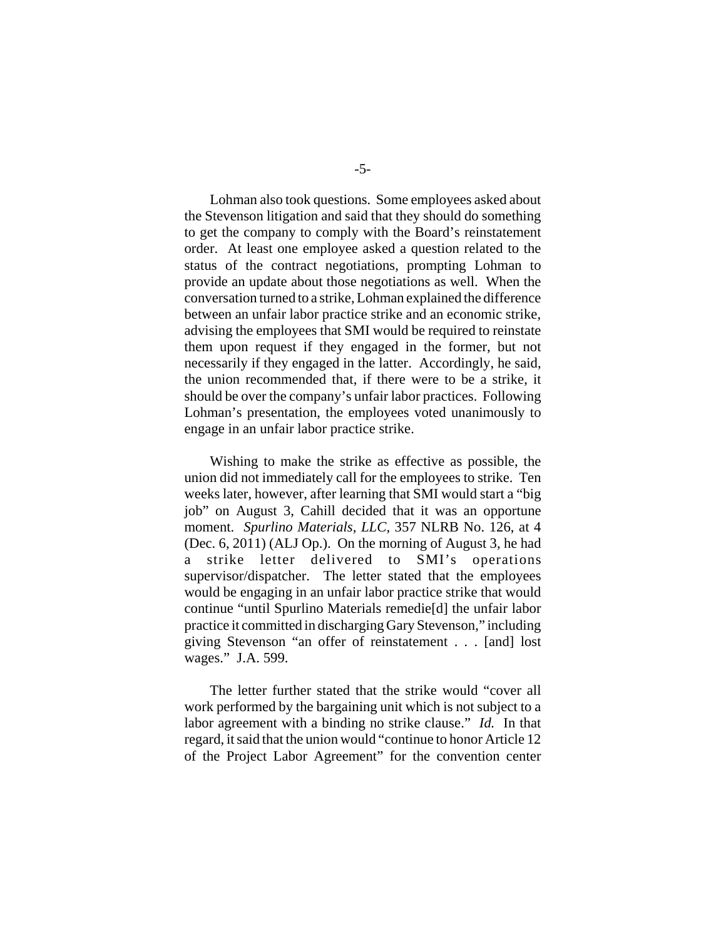Lohman also took questions. Some employees asked about the Stevenson litigation and said that they should do something to get the company to comply with the Board's reinstatement order. At least one employee asked a question related to the status of the contract negotiations, prompting Lohman to provide an update about those negotiations as well. When the conversation turned to a strike, Lohman explained the difference between an unfair labor practice strike and an economic strike, advising the employees that SMI would be required to reinstate them upon request if they engaged in the former, but not necessarily if they engaged in the latter. Accordingly, he said, the union recommended that, if there were to be a strike, it should be over the company's unfair labor practices. Following Lohman's presentation, the employees voted unanimously to engage in an unfair labor practice strike.

Wishing to make the strike as effective as possible, the union did not immediately call for the employees to strike. Ten weeks later, however, after learning that SMI would start a "big job" on August 3, Cahill decided that it was an opportune moment. *Spurlino Materials, LLC*, 357 NLRB No. 126, at 4 (Dec. 6, 2011) (ALJ Op.). On the morning of August 3, he had a strike letter delivered to SMI's operations supervisor/dispatcher. The letter stated that the employees would be engaging in an unfair labor practice strike that would continue "until Spurlino Materials remedie[d] the unfair labor practice it committed in discharging Gary Stevenson," including giving Stevenson "an offer of reinstatement . . . [and] lost wages." J.A. 599.

The letter further stated that the strike would "cover all work performed by the bargaining unit which is not subject to a labor agreement with a binding no strike clause." *Id.* In that regard, it said that the union would "continue to honor Article 12 of the Project Labor Agreement" for the convention center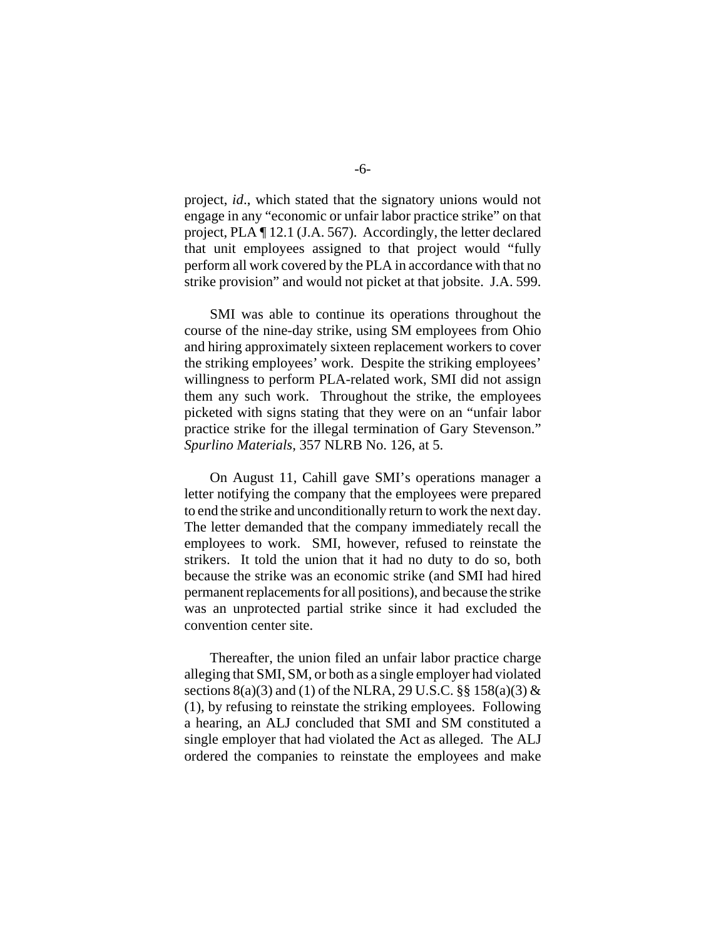project, *id*., which stated that the signatory unions would not engage in any "economic or unfair labor practice strike" on that project, PLA ¶ 12.1 (J.A. 567). Accordingly, the letter declared that unit employees assigned to that project would "fully perform all work covered by the PLA in accordance with that no strike provision" and would not picket at that jobsite. J.A. 599.

SMI was able to continue its operations throughout the course of the nine-day strike, using SM employees from Ohio and hiring approximately sixteen replacement workers to cover the striking employees' work. Despite the striking employees' willingness to perform PLA-related work, SMI did not assign them any such work. Throughout the strike, the employees picketed with signs stating that they were on an "unfair labor practice strike for the illegal termination of Gary Stevenson." *Spurlino Materials*, 357 NLRB No. 126, at 5.

On August 11, Cahill gave SMI's operations manager a letter notifying the company that the employees were prepared to end the strike and unconditionally return to work the next day. The letter demanded that the company immediately recall the employees to work. SMI, however, refused to reinstate the strikers. It told the union that it had no duty to do so, both because the strike was an economic strike (and SMI had hired permanent replacements for all positions), and because the strike was an unprotected partial strike since it had excluded the convention center site.

Thereafter, the union filed an unfair labor practice charge alleging that SMI, SM, or both as a single employer had violated sections  $8(a)(3)$  and (1) of the NLRA, 29 U.S.C.  $\S$ § 158(a)(3) & (1), by refusing to reinstate the striking employees. Following a hearing, an ALJ concluded that SMI and SM constituted a single employer that had violated the Act as alleged. The ALJ ordered the companies to reinstate the employees and make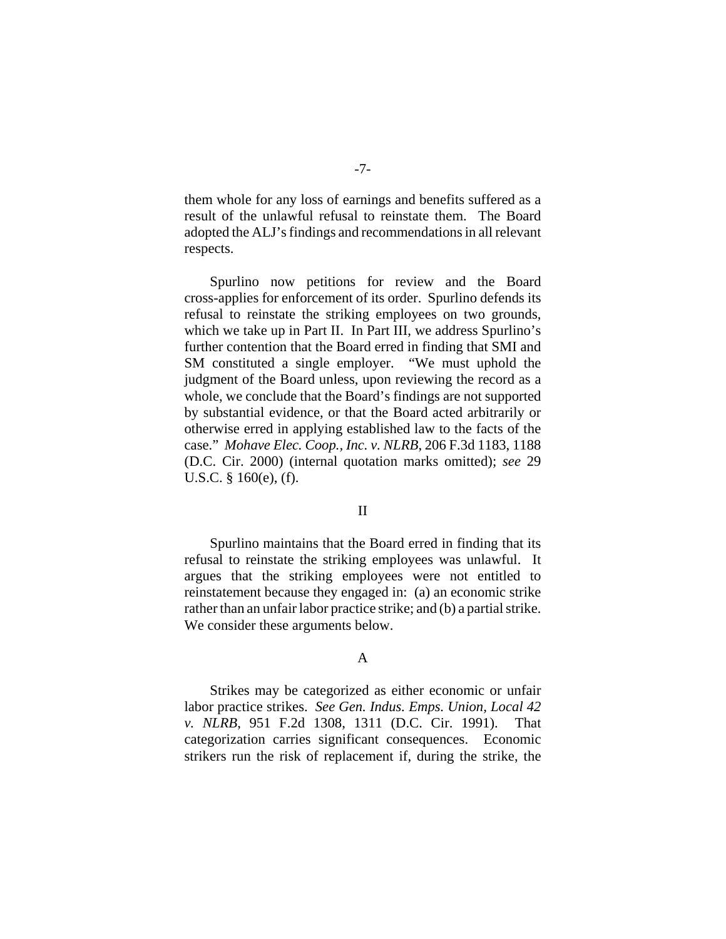them whole for any loss of earnings and benefits suffered as a result of the unlawful refusal to reinstate them. The Board adopted the ALJ's findings and recommendations in all relevant respects.

Spurlino now petitions for review and the Board cross-applies for enforcement of its order. Spurlino defends its refusal to reinstate the striking employees on two grounds, which we take up in Part II. In Part III, we address Spurlino's further contention that the Board erred in finding that SMI and SM constituted a single employer. "We must uphold the judgment of the Board unless, upon reviewing the record as a whole, we conclude that the Board's findings are not supported by substantial evidence, or that the Board acted arbitrarily or otherwise erred in applying established law to the facts of the case." *Mohave Elec. Coop., Inc. v. NLRB*, 206 F.3d 1183, 1188 (D.C. Cir. 2000) (internal quotation marks omitted); *see* 29 U.S.C. § 160(e), (f).

## II

Spurlino maintains that the Board erred in finding that its refusal to reinstate the striking employees was unlawful. It argues that the striking employees were not entitled to reinstatement because they engaged in: (a) an economic strike rather than an unfair labor practice strike; and (b) a partial strike. We consider these arguments below.

# A

Strikes may be categorized as either economic or unfair labor practice strikes. *See Gen. Indus. Emps. Union, Local 42 v. NLRB*, 951 F.2d 1308, 1311 (D.C. Cir. 1991). That categorization carries significant consequences. Economic strikers run the risk of replacement if, during the strike, the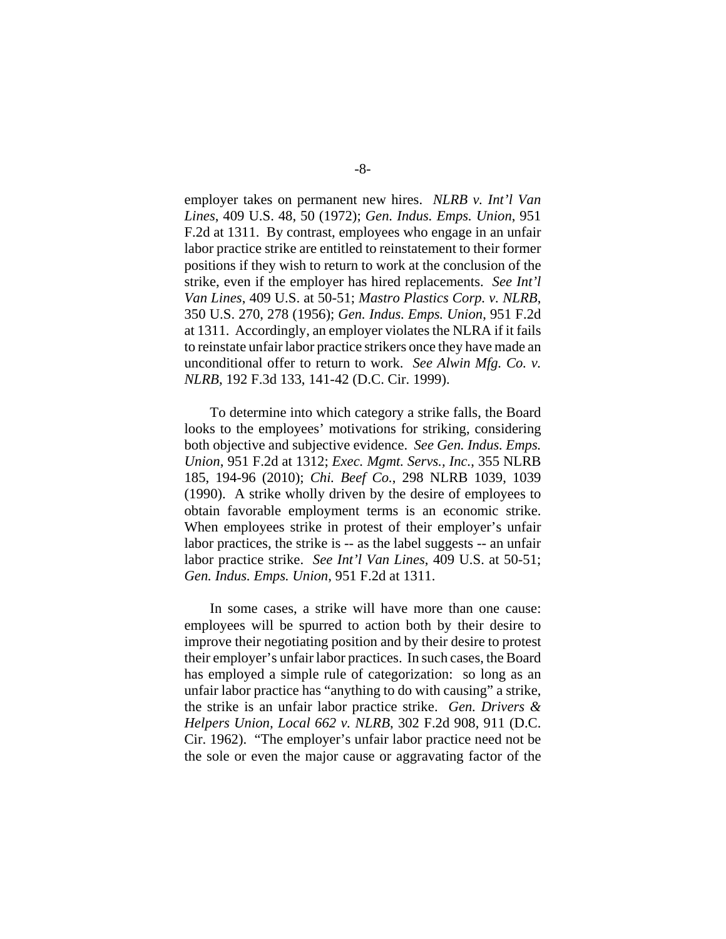employer takes on permanent new hires. *NLRB v. Int'l Van Lines*, 409 U.S. 48, 50 (1972); *Gen. Indus. Emps. Union*, 951 F.2d at 1311. By contrast, employees who engage in an unfair labor practice strike are entitled to reinstatement to their former positions if they wish to return to work at the conclusion of the strike, even if the employer has hired replacements. *See Int'l Van Lines*, 409 U.S. at 50-51; *Mastro Plastics Corp. v. NLRB*, 350 U.S. 270, 278 (1956); *Gen. Indus. Emps. Union*, 951 F.2d at 1311. Accordingly, an employer violates the NLRA if it fails to reinstate unfair labor practice strikers once they have made an unconditional offer to return to work. *See Alwin Mfg. Co. v. NLRB*, 192 F.3d 133, 141-42 (D.C. Cir. 1999).

To determine into which category a strike falls, the Board looks to the employees' motivations for striking, considering both objective and subjective evidence. *See Gen. Indus. Emps. Union*, 951 F.2d at 1312; *Exec. Mgmt. Servs., Inc.*, 355 NLRB 185, 194-96 (2010); *Chi. Beef Co.*, 298 NLRB 1039, 1039 (1990).A strike wholly driven by the desire of employees to obtain favorable employment terms is an economic strike. When employees strike in protest of their employer's unfair labor practices, the strike is -- as the label suggests -- an unfair labor practice strike. *See Int'l Van Lines*, 409 U.S. at 50-51; *Gen. Indus. Emps. Union*, 951 F.2d at 1311.

In some cases, a strike will have more than one cause: employees will be spurred to action both by their desire to improve their negotiating position and by their desire to protest their employer's unfair labor practices. In such cases, the Board has employed a simple rule of categorization: so long as an unfair labor practice has "anything to do with causing" a strike, the strike is an unfair labor practice strike. *Gen. Drivers & Helpers Union, Local 662 v. NLRB*, 302 F.2d 908, 911 (D.C. Cir. 1962). "The employer's unfair labor practice need not be the sole or even the major cause or aggravating factor of the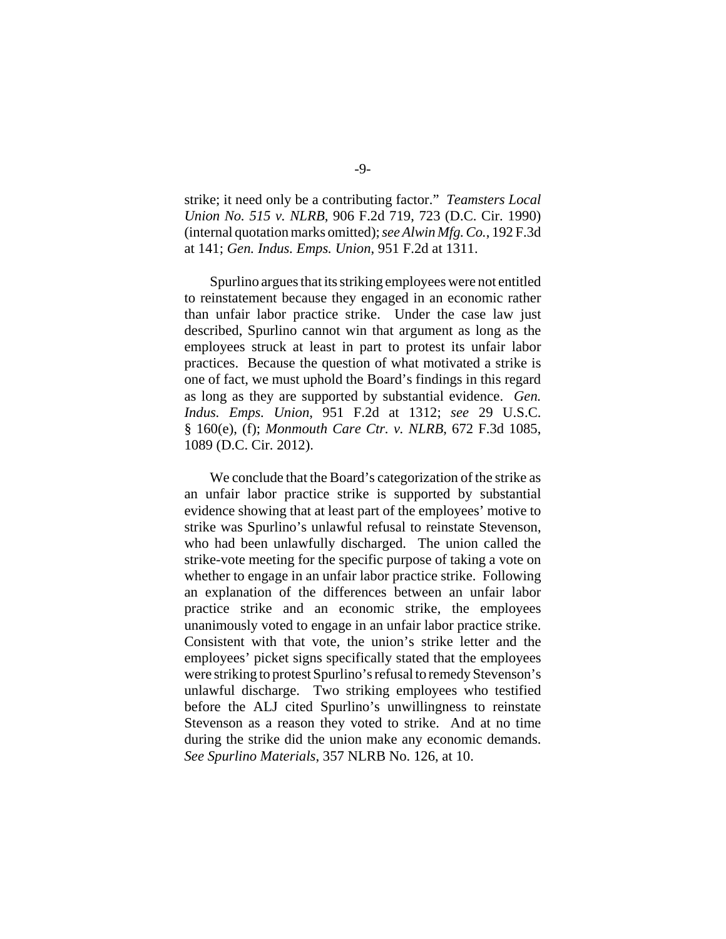strike; it need only be a contributing factor." *Teamsters Local Union No. 515 v. NLRB*, 906 F.2d 719, 723 (D.C. Cir. 1990) (internal quotation marks omitted); *see Alwin Mfg. Co.*, 192 F.3d at 141; *Gen. Indus. Emps. Union*, 951 F.2d at 1311.

Spurlino argues that its striking employees were not entitled to reinstatement because they engaged in an economic rather than unfair labor practice strike. Under the case law just described, Spurlino cannot win that argument as long as the employees struck at least in part to protest its unfair labor practices. Because the question of what motivated a strike is one of fact, we must uphold the Board's findings in this regard as long as they are supported by substantial evidence. *Gen. Indus. Emps. Union*, 951 F.2d at 1312; *see* 29 U.S.C. § 160(e), (f); *Monmouth Care Ctr. v. NLRB*, 672 F.3d 1085, 1089 (D.C. Cir. 2012).

We conclude that the Board's categorization of the strike as an unfair labor practice strike is supported by substantial evidence showing that at least part of the employees' motive to strike was Spurlino's unlawful refusal to reinstate Stevenson, who had been unlawfully discharged. The union called the strike-vote meeting for the specific purpose of taking a vote on whether to engage in an unfair labor practice strike. Following an explanation of the differences between an unfair labor practice strike and an economic strike, the employees unanimously voted to engage in an unfair labor practice strike. Consistent with that vote, the union's strike letter and the employees' picket signs specifically stated that the employees were striking to protest Spurlino's refusal to remedy Stevenson's unlawful discharge. Two striking employees who testified before the ALJ cited Spurlino's unwillingness to reinstate Stevenson as a reason they voted to strike. And at no time during the strike did the union make any economic demands. *See Spurlino Materials*, 357 NLRB No. 126, at 10.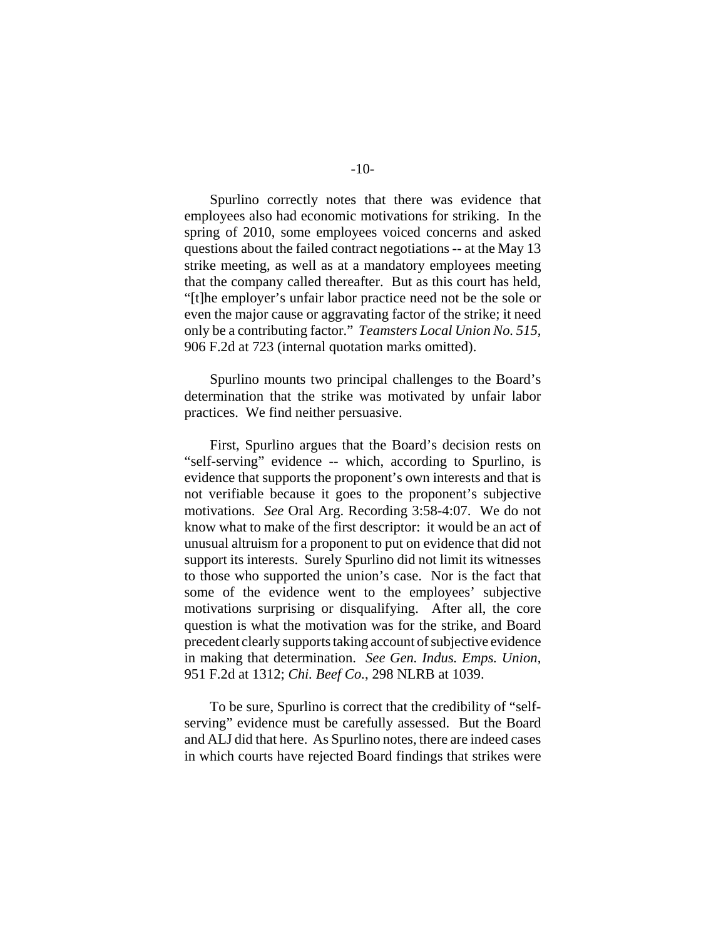Spurlino correctly notes that there was evidence that employees also had economic motivations for striking. In the spring of 2010, some employees voiced concerns and asked questions about the failed contract negotiations -- at the May 13

strike meeting, as well as at a mandatory employees meeting that the company called thereafter. But as this court has held, "[t]he employer's unfair labor practice need not be the sole or even the major cause or aggravating factor of the strike; it need only be a contributing factor." *Teamsters Local Union No. 515*, 906 F.2d at 723 (internal quotation marks omitted).

Spurlino mounts two principal challenges to the Board's determination that the strike was motivated by unfair labor practices. We find neither persuasive.

First, Spurlino argues that the Board's decision rests on "self-serving" evidence -- which, according to Spurlino, is evidence that supports the proponent's own interests and that is not verifiable because it goes to the proponent's subjective motivations. *See* Oral Arg. Recording 3:58-4:07. We do not know what to make of the first descriptor: it would be an act of unusual altruism for a proponent to put on evidence that did not support its interests. Surely Spurlino did not limit its witnesses to those who supported the union's case. Nor is the fact that some of the evidence went to the employees' subjective motivations surprising or disqualifying. After all, the core question is what the motivation was for the strike, and Board precedent clearly supports taking account of subjective evidence in making that determination. *See Gen. Indus. Emps. Union*, 951 F.2d at 1312; *Chi. Beef Co.*, 298 NLRB at 1039.

To be sure, Spurlino is correct that the credibility of "selfserving" evidence must be carefully assessed. But the Board and ALJ did that here. As Spurlino notes, there are indeed cases in which courts have rejected Board findings that strikes were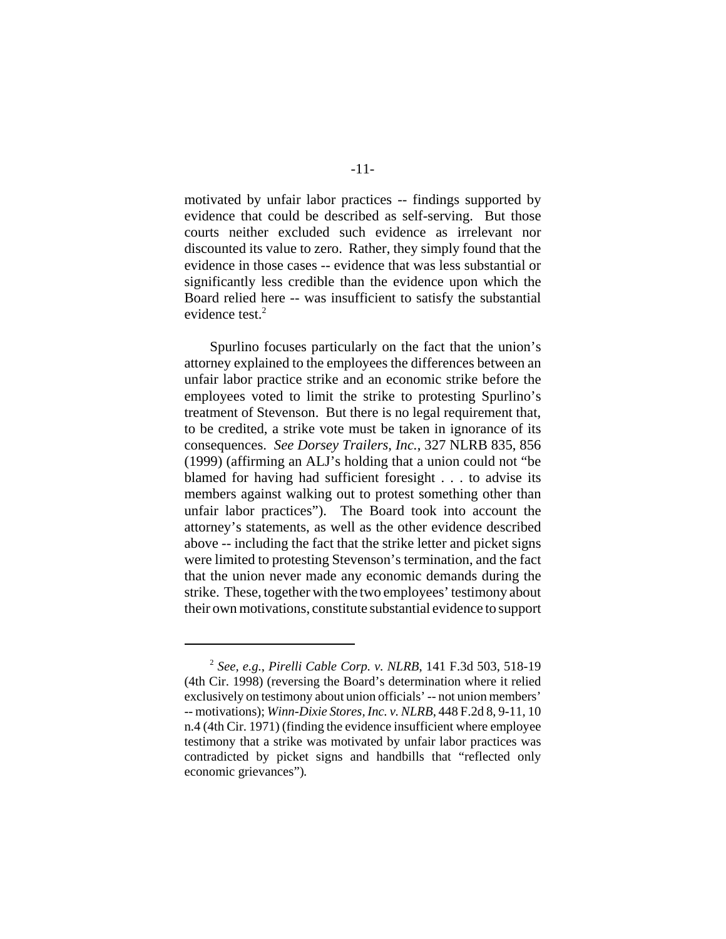motivated by unfair labor practices -- findings supported by evidence that could be described as self-serving. But those courts neither excluded such evidence as irrelevant nor discounted its value to zero. Rather, they simply found that the evidence in those cases -- evidence that was less substantial or significantly less credible than the evidence upon which the Board relied here -- was insufficient to satisfy the substantial evidence test.<sup>2</sup>

Spurlino focuses particularly on the fact that the union's attorney explained to the employees the differences between an unfair labor practice strike and an economic strike before the employees voted to limit the strike to protesting Spurlino's treatment of Stevenson. But there is no legal requirement that, to be credited, a strike vote must be taken in ignorance of its consequences. *See Dorsey Trailers, Inc.*, 327 NLRB 835, 856 (1999) (affirming an ALJ's holding that a union could not "be blamed for having had sufficient foresight . . . to advise its members against walking out to protest something other than unfair labor practices"). The Board took into account the attorney's statements, as well as the other evidence described above -- including the fact that the strike letter and picket signs were limited to protesting Stevenson's termination, and the fact that the union never made any economic demands during the strike. These, together with the two employees' testimony about their own motivations, constitute substantial evidence to support

<sup>2</sup> *See, e.g.*, *Pirelli Cable Corp. v. NLRB*, 141 F.3d 503, 518-19 (4th Cir. 1998) (reversing the Board's determination where it relied exclusively on testimony about union officials' -- not union members' -- motivations); *Winn-Dixie Stores, Inc. v. NLRB*, 448 F.2d 8, 9-11, 10 n.4 (4th Cir. 1971) (finding the evidence insufficient where employee testimony that a strike was motivated by unfair labor practices was contradicted by picket signs and handbills that "reflected only economic grievances")*.*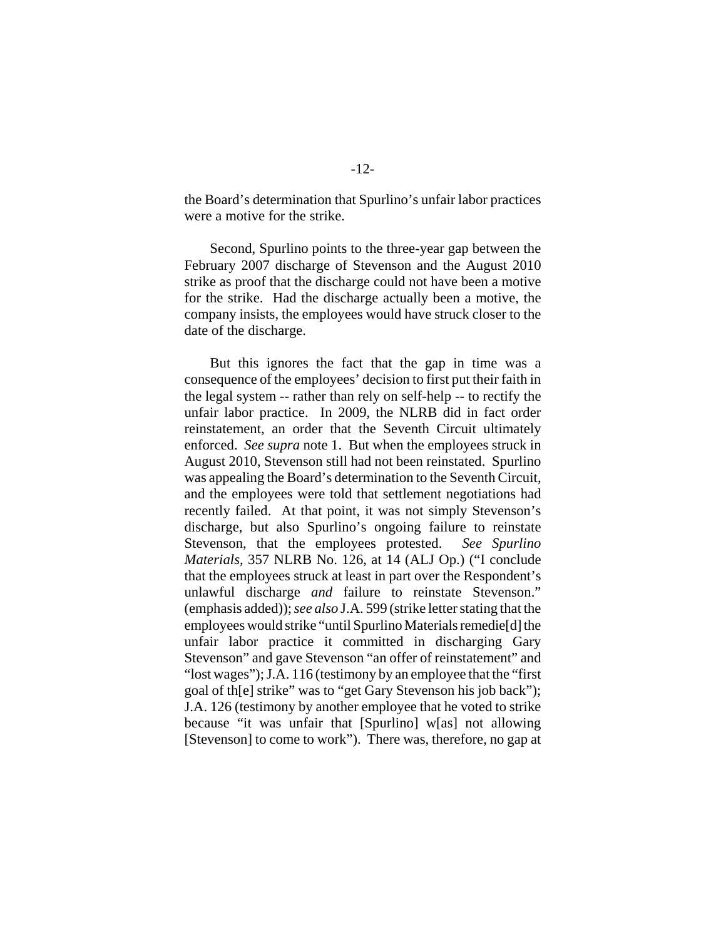the Board's determination that Spurlino's unfair labor practices were a motive for the strike.

Second, Spurlino points to the three-year gap between the February 2007 discharge of Stevenson and the August 2010 strike as proof that the discharge could not have been a motive for the strike. Had the discharge actually been a motive, the company insists, the employees would have struck closer to the date of the discharge.

But this ignores the fact that the gap in time was a consequence of the employees' decision to first put their faith in the legal system -- rather than rely on self-help -- to rectify the unfair labor practice. In 2009, the NLRB did in fact order reinstatement, an order that the Seventh Circuit ultimately enforced. *See supra* note 1. But when the employees struck in August 2010, Stevenson still had not been reinstated. Spurlino was appealing the Board's determination to the Seventh Circuit, and the employees were told that settlement negotiations had recently failed. At that point, it was not simply Stevenson's discharge, but also Spurlino's ongoing failure to reinstate Stevenson, that the employees protested. *See Spurlino Materials*, 357 NLRB No. 126, at 14 (ALJ Op.) ("I conclude that the employees struck at least in part over the Respondent's unlawful discharge *and* failure to reinstate Stevenson." (emphasis added)); *see also* J.A. 599 (strike letter stating that the employees would strike "until Spurlino Materials remedie[d] the unfair labor practice it committed in discharging Gary Stevenson" and gave Stevenson "an offer of reinstatement" and "lost wages"); J.A. 116 (testimony by an employee that the "first goal of th[e] strike" was to "get Gary Stevenson his job back"); J.A. 126 (testimony by another employee that he voted to strike because "it was unfair that [Spurlino] w[as] not allowing [Stevenson] to come to work"). There was, therefore, no gap at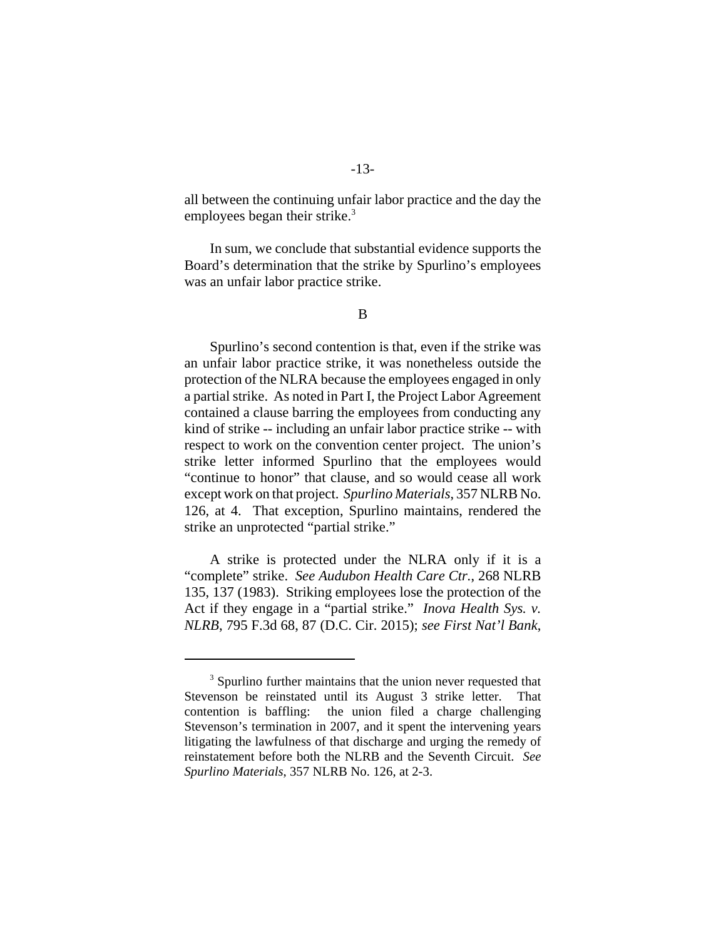-13 all between the continuing unfair labor practice and the day the

employees began their strike.<sup>3</sup>

In sum, we conclude that substantial evidence supports the Board's determination that the strike by Spurlino's employees was an unfair labor practice strike.

Spurlino's second contention is that, even if the strike was an unfair labor practice strike, it was nonetheless outside the protection of the NLRA because the employees engaged in only a partial strike. As noted in Part I, the Project Labor Agreement contained a clause barring the employees from conducting any kind of strike -- including an unfair labor practice strike -- with respect to work on the convention center project. The union's strike letter informed Spurlino that the employees would "continue to honor" that clause, and so would cease all work except work on that project. *Spurlino Materials*, 357 NLRB No. 126, at 4. That exception, Spurlino maintains, rendered the strike an unprotected "partial strike."

A strike is protected under the NLRA only if it is a "complete" strike. *See Audubon Health Care Ctr.*, 268 NLRB 135, 137 (1983). Striking employees lose the protection of the Act if they engage in a "partial strike." *Inova Health Sys. v. NLRB*, 795 F.3d 68, 87 (D.C. Cir. 2015); *see First Nat'l Bank*,

<sup>&</sup>lt;sup>3</sup> Spurlino further maintains that the union never requested that Stevenson be reinstated until its August 3 strike letter. That contention is baffling: the union filed a charge challenging Stevenson's termination in 2007, and it spent the intervening years litigating the lawfulness of that discharge and urging the remedy of reinstatement before both the NLRB and the Seventh Circuit. *See Spurlino Materials*, 357 NLRB No. 126, at 2-3.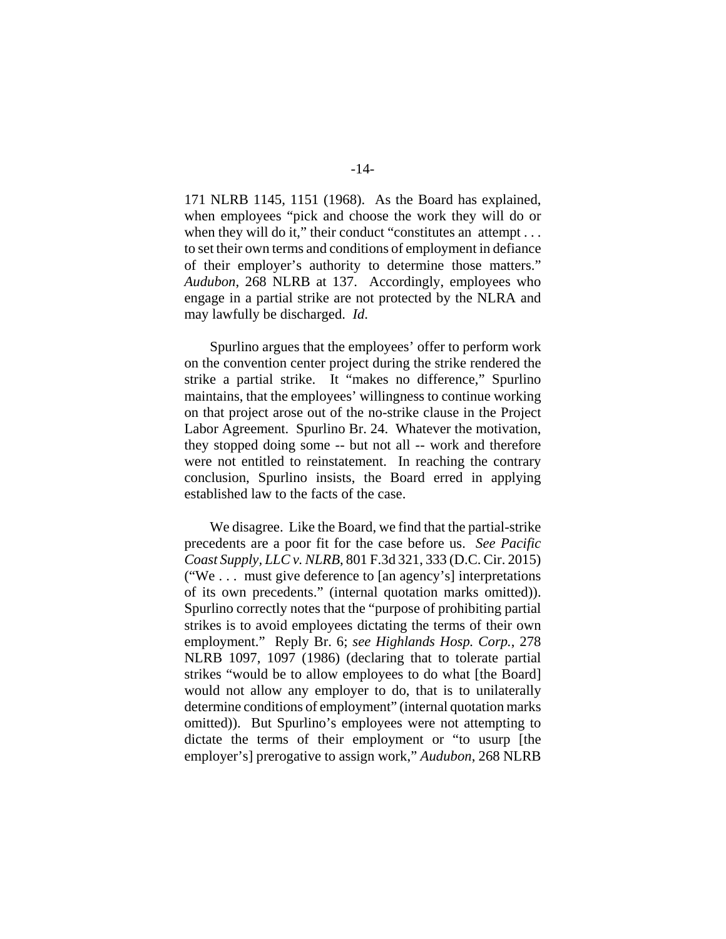171 NLRB 1145, 1151 (1968). As the Board has explained, when employees "pick and choose the work they will do or when they will do it," their conduct "constitutes an attempt . . . to set their own terms and conditions of employment in defiance of their employer's authority to determine those matters." *Audubon*, 268 NLRB at 137. Accordingly, employees who engage in a partial strike are not protected by the NLRA and may lawfully be discharged. *Id*.

Spurlino argues that the employees' offer to perform work on the convention center project during the strike rendered the strike a partial strike. It "makes no difference," Spurlino maintains, that the employees' willingness to continue working on that project arose out of the no-strike clause in the Project Labor Agreement. Spurlino Br. 24. Whatever the motivation, they stopped doing some -- but not all -- work and therefore were not entitled to reinstatement. In reaching the contrary conclusion, Spurlino insists, the Board erred in applying established law to the facts of the case.

We disagree. Like the Board, we find that the partial-strike precedents are a poor fit for the case before us. *See Pacific Coast Supply, LLC v. NLRB*, 801 F.3d 321, 333 (D.C. Cir. 2015) ("We . . . must give deference to [an agency's] interpretations of its own precedents." (internal quotation marks omitted)). Spurlino correctly notes that the "purpose of prohibiting partial strikes is to avoid employees dictating the terms of their own employment." Reply Br. 6; *see Highlands Hosp. Corp.*, 278 NLRB 1097, 1097 (1986) (declaring that to tolerate partial strikes "would be to allow employees to do what [the Board] would not allow any employer to do, that is to unilaterally determine conditions of employment" (internal quotation marks omitted)). But Spurlino's employees were not attempting to dictate the terms of their employment or "to usurp [the employer's] prerogative to assign work," *Audubon*, 268 NLRB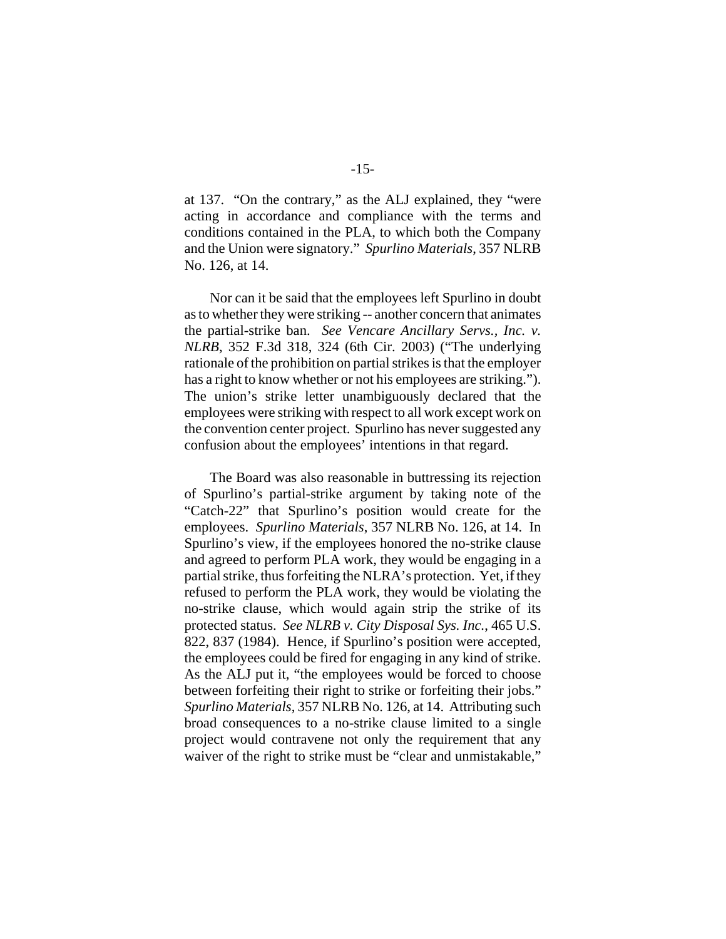at 137. "On the contrary," as the ALJ explained, they "were acting in accordance and compliance with the terms and conditions contained in the PLA, to which both the Company and the Union were signatory." *Spurlino Materials*, 357 NLRB No. 126, at 14.

Nor can it be said that the employees left Spurlino in doubt as to whether they were striking -- another concern that animates the partial-strike ban. *See Vencare Ancillary Servs., Inc. v. NLRB*, 352 F.3d 318, 324 (6th Cir. 2003) ("The underlying rationale of the prohibition on partial strikes is that the employer has a right to know whether or not his employees are striking."). The union's strike letter unambiguously declared that the employees were striking with respect to all work except work on the convention center project. Spurlino has never suggested any confusion about the employees' intentions in that regard.

The Board was also reasonable in buttressing its rejection of Spurlino's partial-strike argument by taking note of the "Catch-22" that Spurlino's position would create for the employees. *Spurlino Materials*, 357 NLRB No. 126, at 14. In Spurlino's view, if the employees honored the no-strike clause and agreed to perform PLA work, they would be engaging in a partial strike, thus forfeiting the NLRA's protection. Yet, if they refused to perform the PLA work, they would be violating the no-strike clause, which would again strip the strike of its protected status. *See NLRB v. City Disposal Sys. Inc.*, 465 U.S. 822, 837 (1984). Hence, if Spurlino's position were accepted, the employees could be fired for engaging in any kind of strike. As the ALJ put it, "the employees would be forced to choose between forfeiting their right to strike or forfeiting their jobs." *Spurlino Materials*, 357 NLRB No. 126, at 14. Attributing such broad consequences to a no-strike clause limited to a single project would contravene not only the requirement that any waiver of the right to strike must be "clear and unmistakable,"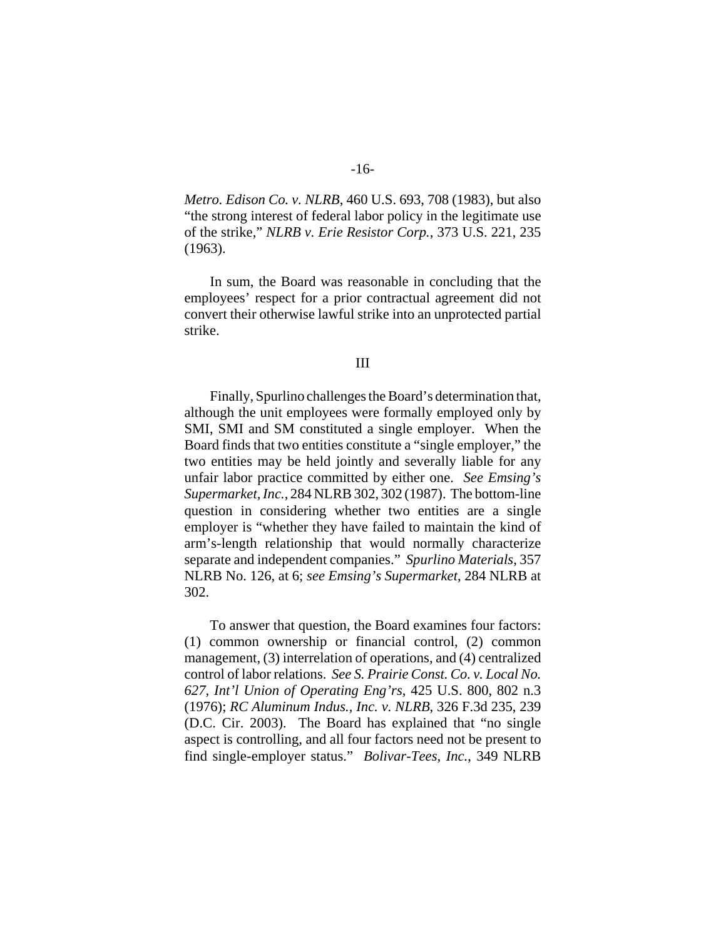*Metro. Edison Co. v. NLRB*, 460 U.S. 693, 708 (1983), but also "the strong interest of federal labor policy in the legitimate use of the strike," *NLRB v. Erie Resistor Corp.*, 373 U.S. 221, 235 (1963).

In sum, the Board was reasonable in concluding that the employees' respect for a prior contractual agreement did not convert their otherwise lawful strike into an unprotected partial strike.

#### III

Finally, Spurlino challenges the Board's determination that, although the unit employees were formally employed only by SMI, SMI and SM constituted a single employer. When the Board finds that two entities constitute a "single employer," the two entities may be held jointly and severally liable for any unfair labor practice committed by either one. *See Emsing's Supermarket, Inc.*, 284 NLRB 302, 302 (1987). The bottom-line question in considering whether two entities are a single employer is "whether they have failed to maintain the kind of arm's-length relationship that would normally characterize separate and independent companies." *Spurlino Materials*, 357 NLRB No. 126, at 6; *see Emsing's Supermarket*, 284 NLRB at 302.

To answer that question, the Board examines four factors: (1) common ownership or financial control, (2) common management, (3) interrelation of operations, and (4) centralized control of labor relations. *See S. Prairie Const. Co. v. Local No. 627, Int'l Union of Operating Eng'rs*, 425 U.S. 800, 802 n.3 (1976); *RC Aluminum Indus., Inc. v. NLRB*, 326 F.3d 235, 239 (D.C. Cir. 2003). The Board has explained that "no single aspect is controlling, and all four factors need not be present to find single-employer status." *Bolivar-Tees, Inc.*, 349 NLRB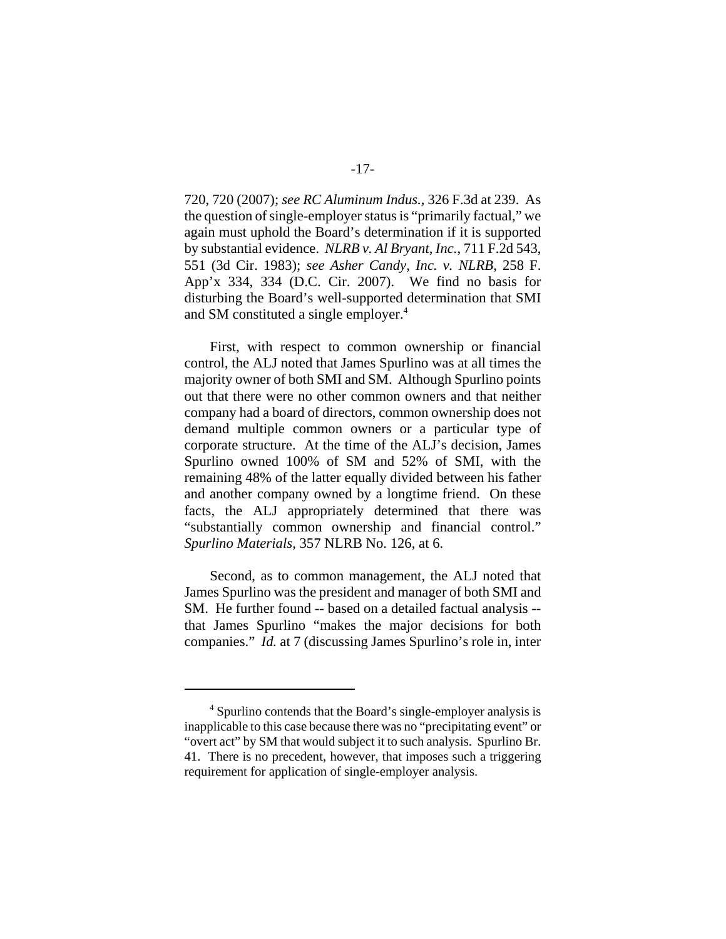720, 720 (2007); *see RC Aluminum Indus.*, 326 F.3d at 239. As the question of single-employer status is "primarily factual," we again must uphold the Board's determination if it is supported by substantial evidence. *NLRB v. Al Bryant, Inc.*, 711 F.2d 543, 551 (3d Cir. 1983); *see Asher Candy, Inc. v. NLRB*, 258 F. App'x 334, 334 (D.C. Cir. 2007). We find no basis for disturbing the Board's well-supported determination that SMI and SM constituted a single employer.<sup>4</sup>

First, with respect to common ownership or financial control, the ALJ noted that James Spurlino was at all times the majority owner of both SMI and SM. Although Spurlino points out that there were no other common owners and that neither company had a board of directors, common ownership does not demand multiple common owners or a particular type of corporate structure. At the time of the ALJ's decision, James Spurlino owned 100% of SM and 52% of SMI, with the remaining 48% of the latter equally divided between his father and another company owned by a longtime friend. On these facts, the ALJ appropriately determined that there was "substantially common ownership and financial control." *Spurlino Materials*, 357 NLRB No. 126, at 6.

Second, as to common management, the ALJ noted that James Spurlino was the president and manager of both SMI and SM. He further found -- based on a detailed factual analysis - that James Spurlino "makes the major decisions for both companies." *Id.* at 7 (discussing James Spurlino's role in, inter

<sup>&</sup>lt;sup>4</sup> Spurlino contends that the Board's single-employer analysis is inapplicable to this case because there was no "precipitating event" or "overt act" by SM that would subject it to such analysis. Spurlino Br. 41. There is no precedent, however, that imposes such a triggering requirement for application of single-employer analysis.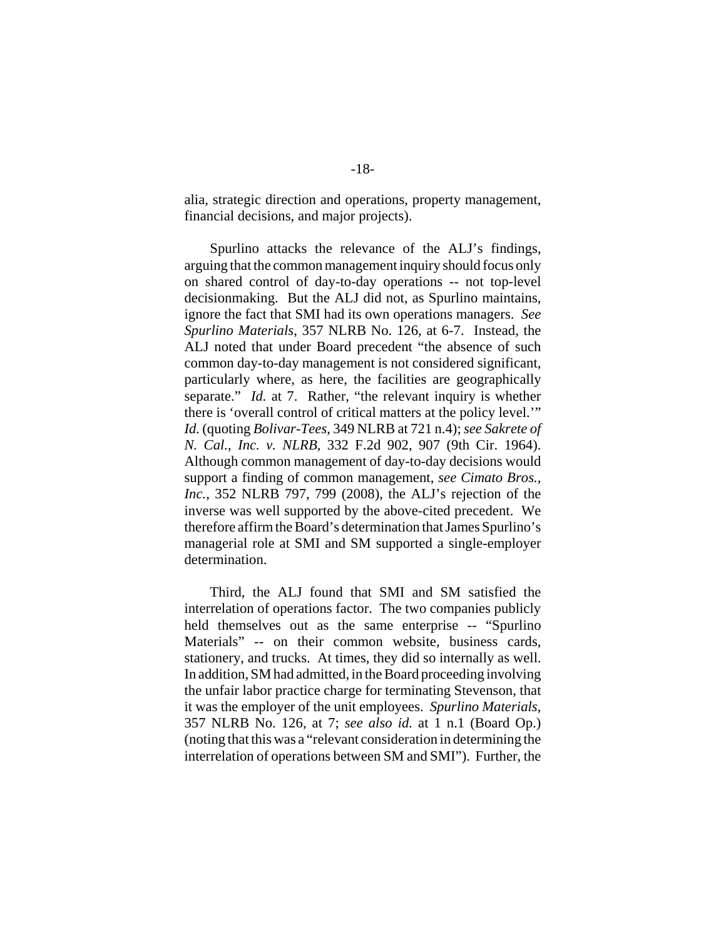alia, strategic direction and operations, property management, financial decisions, and major projects).

Spurlino attacks the relevance of the ALJ's findings, arguing that the common management inquiry should focus only on shared control of day-to-day operations -- not top-level decisionmaking. But the ALJ did not, as Spurlino maintains, ignore the fact that SMI had its own operations managers. *See Spurlino Materials*, 357 NLRB No. 126, at 6-7. Instead, the ALJ noted that under Board precedent "the absence of such common day-to-day management is not considered significant, particularly where, as here, the facilities are geographically separate." *Id.* at 7. Rather, "the relevant inquiry is whether there is 'overall control of critical matters at the policy level.'" *Id.* (quoting *Bolivar-Tees*, 349 NLRB at 721 n.4); *see Sakrete of N. Cal., Inc. v. NLRB*, 332 F.2d 902, 907 (9th Cir. 1964). Although common management of day-to-day decisions would support a finding of common management, *see Cimato Bros., Inc.*, 352 NLRB 797, 799 (2008), the ALJ's rejection of the inverse was well supported by the above-cited precedent. We therefore affirm the Board's determination that James Spurlino's managerial role at SMI and SM supported a single-employer determination.

Third, the ALJ found that SMI and SM satisfied the interrelation of operations factor. The two companies publicly held themselves out as the same enterprise -- "Spurlino" Materials" -- on their common website, business cards, stationery, and trucks. At times, they did so internally as well. In addition, SM had admitted, in the Board proceeding involving the unfair labor practice charge for terminating Stevenson, that it was the employer of the unit employees. *Spurlino Materials*, 357 NLRB No. 126, at 7; *see also id.* at 1 n.1 (Board Op.) (noting that this was a "relevant consideration in determining the interrelation of operations between SM and SMI"). Further, the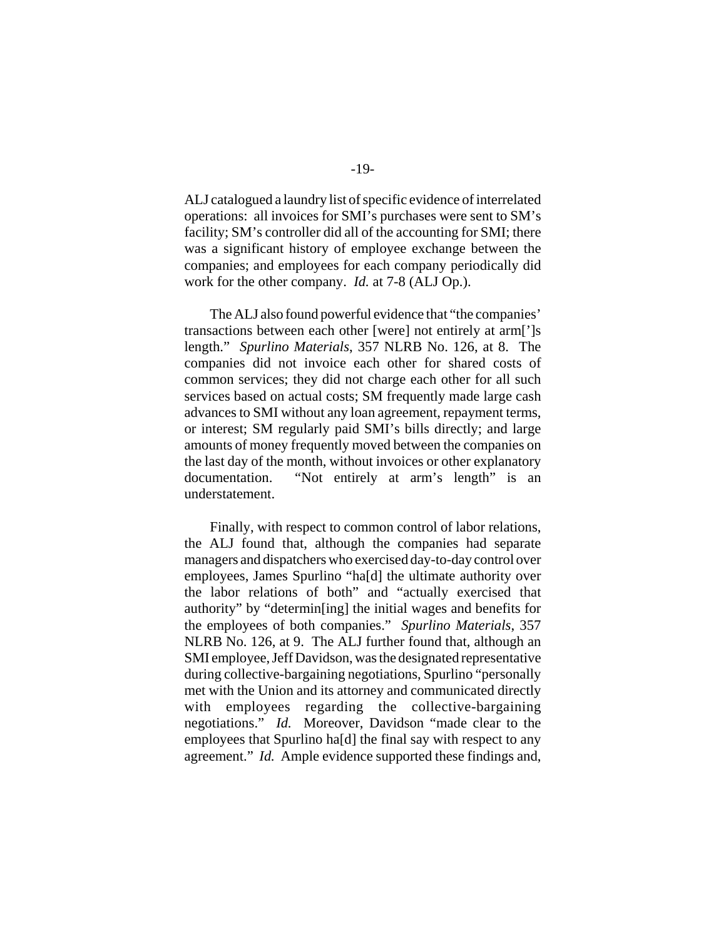ALJ catalogued a laundry list of specific evidence of interrelated operations: all invoices for SMI's purchases were sent to SM's facility; SM's controller did all of the accounting for SMI; there was a significant history of employee exchange between the companies; and employees for each company periodically did work for the other company. *Id.* at 7-8 (ALJ Op.).

The ALJ also found powerful evidence that "the companies' transactions between each other [were] not entirely at arm[']s length." *Spurlino Materials*, 357 NLRB No. 126, at 8. The companies did not invoice each other for shared costs of common services; they did not charge each other for all such services based on actual costs; SM frequently made large cash advances to SMI without any loan agreement, repayment terms, or interest; SM regularly paid SMI's bills directly; and large amounts of money frequently moved between the companies on the last day of the month, without invoices or other explanatory documentation. "Not entirely at arm's length" is an understatement.

Finally, with respect to common control of labor relations, the ALJ found that, although the companies had separate managers and dispatchers who exercised day-to-day control over employees, James Spurlino "ha[d] the ultimate authority over the labor relations of both" and "actually exercised that authority" by "determin[ing] the initial wages and benefits for the employees of both companies." *Spurlino Materials*, 357 NLRB No. 126, at 9. The ALJ further found that, although an SMI employee, Jeff Davidson, was the designated representative during collective-bargaining negotiations, Spurlino "personally met with the Union and its attorney and communicated directly with employees regarding the collective-bargaining negotiations." *Id.* Moreover, Davidson "made clear to the employees that Spurlino ha[d] the final say with respect to any agreement." *Id.* Ample evidence supported these findings and,